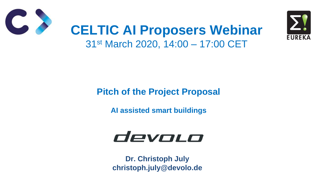#### **Pitch of the Project Proposal**

**AI assisted smart buildings**



### **CELTIC AI Proposers Webinar** 31st March 2020, 14:00 – 17:00 CET

**Dr. Christoph July christoph.july@devolo.de**



### devoc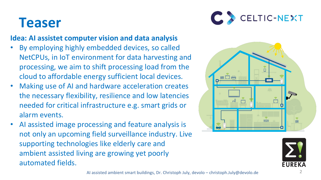### **Teaser**

#### **Idea: AI assistet computer vision and data analysis**

- By employing highly embedded devices, so called NetCPUs, in IoT environment for data harvesting and processing, we aim to shift processing load from the cloud to affordable energy sufficient local devices.
- Making use of AI and hardware acceleration creates the necessary flexibility, resilience and low latencies needed for critical infrastructure e.g. smart grids or alarm events.
- AI assisted image processing and feature analysis is not only an upcoming field surveillance industry. Live supporting technologies like elderly care and ambient assisted living are growing yet poorly automated fields.





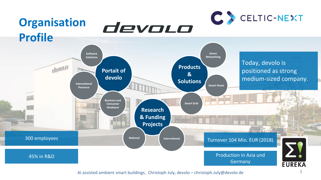

AI assisted ambient smart buildings, Christoph July, devolo – christoph.July@devolo.de 3

Germany

**EUREKA**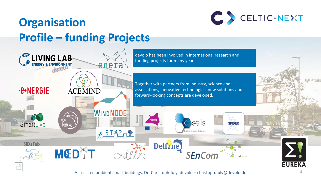AI assisted ambient smart buildings, Dr. Christoph July, devolo – christoph.July@devolo.de 4





<span id="page-3-0"></span>

![](_page_3_Picture_2.jpeg)

![](_page_3_Picture_5.jpeg)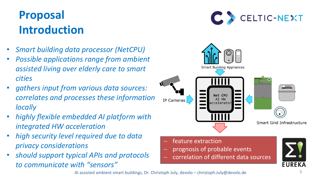### **Proposal Introduction**

![](_page_4_Picture_14.jpeg)

- *Smart building data processor (NetCPU)*
- *Possible applications range from ambient assisted living over elderly care to smart cities*
- *gathers input from various data sources: correlates and processes these information locally*
- *highly flexible embedded AI platform with integrated HW acceleration*
- *high security level required due to data privacy considerations*
- *should support typical APIs and protocols to communicate with "sensors"*
- feature extraction
- − prognosis of probable events
- − correlation of different data sources

**EUREKA** 

AI assisted ambient smart buildings, Dr. Christoph July, devolo – christoph.July@devolo.de

![](_page_4_Picture_8.jpeg)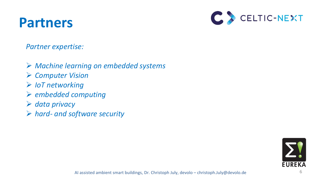### **Partners**

![](_page_5_Picture_6.jpeg)

*Partner expertise:*

➢ *Machine learning on embedded systems* ➢ *Computer Vision* ➢ *IoT networking* ➢ *embedded computing* ➢ *data privacy* ➢ *hard- and software security*

![](_page_5_Picture_4.jpeg)

AI assisted ambient smart buildings, Dr. Christoph July, devolo – christoph.July@devolo.de